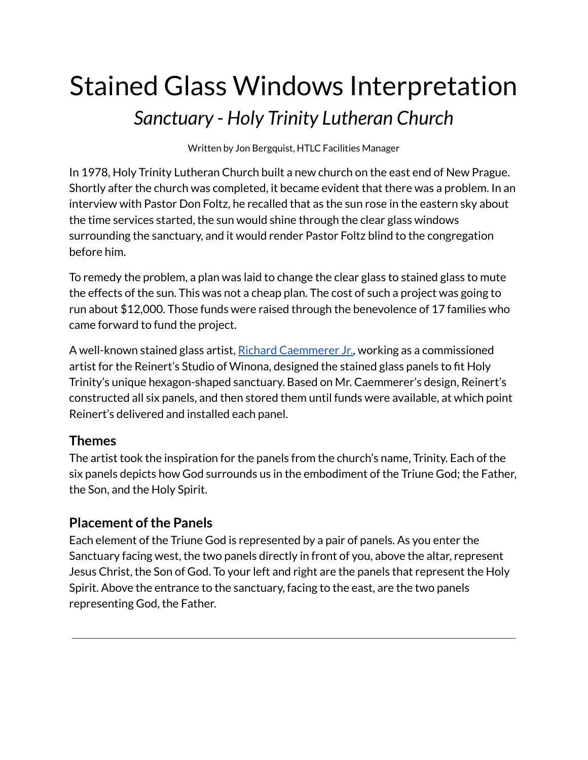# Stained Glass Windows Interpretation *Sanctuary - Holy Trinity Lutheran Church*

Written by Jon Bergquist, HTLC Facilities Manager

In 1978, Holy Trinity Lutheran Church built a new church on the east end of New Prague. Shortly after the church was completed, it became evident that there was a problem. In an interview with Pastor Don Foltz, he recalled that as the sun rose in the eastern sky about the time services started, the sun would shine through the clear glass windows surrounding the sanctuary, and it would render Pastor Foltz blind to the congregation before him.

To remedy the problem, a plan was laid to change the clear glass to stained glass to mute the effects of the sun. This was not a cheap plan. The cost of such a project was going to run about \$12,000. Those funds were raised through the benevolence of 17 families who came forward to fund the project.

A well-known stained glass artist, Richard [Caemmerer](https://www.rrcstudios.com/rrcstudios/the_artist.html) Jr., working as a commissioned artist for the Reinert's Studio of Winona, designed the stained glass panels to fit Holy Trinity's unique hexagon-shaped sanctuary. Based on Mr. Caemmerer's design, Reinert's constructed all six panels, and then stored them until funds were available, at which point Reinert's delivered and installed each panel.

### **Themes**

The artist took the inspiration for the panels from the church's name, Trinity. Each of the six panels depicts how God surrounds us in the embodiment of the Triune God; the Father, the Son, and the Holy Spirit.

### **Placement of the Panels**

Each element of the Triune God is represented by a pair of panels. As you enter the Sanctuary facing west, the two panels directly in front of you, above the altar, represent Jesus Christ, the Son of God. To your left and right are the panels that represent the Holy Spirit. Above the entrance to the sanctuary, facing to the east, are the two panels representing God, the Father.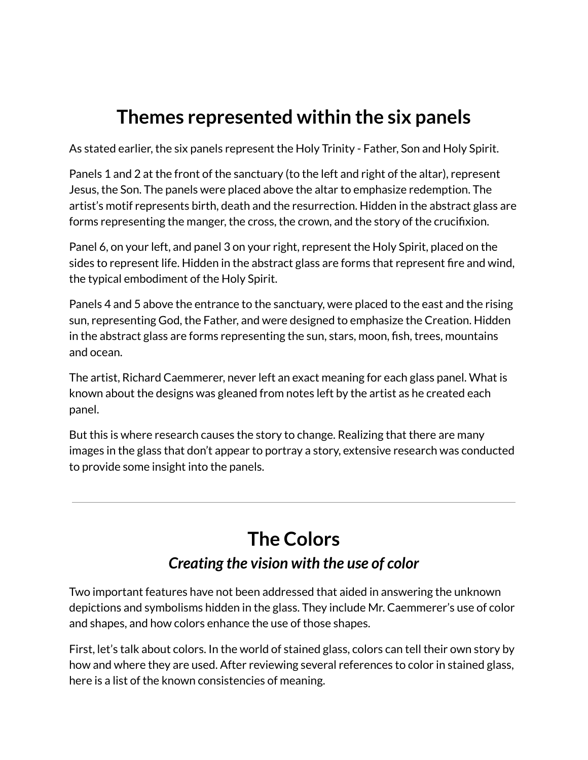# **Themes represented within the six panels**

As stated earlier, the six panels represent the Holy Trinity - Father, Son and Holy Spirit.

Panels 1 and 2 at the front of the sanctuary (to the left and right of the altar), represent Jesus, the Son. The panels were placed above the altar to emphasize redemption. The artist's motif represents birth, death and the resurrection. Hidden in the abstract glass are forms representing the manger, the cross, the crown, and the story of the crucifixion.

Panel 6, on your left, and panel 3 on your right, represent the Holy Spirit, placed on the sides to represent life. Hidden in the abstract glass are forms that represent fire and wind, the typical embodiment of the Holy Spirit.

Panels 4 and 5 above the entrance to the sanctuary, were placed to the east and the rising sun, representing God, the Father, and were designed to emphasize the Creation. Hidden in the abstract glass are forms representing the sun, stars, moon, fish, trees, mountains and ocean.

The artist, Richard Caemmerer, never left an exact meaning for each glass panel. What is known about the designs was gleaned from notes left by the artist as he created each panel.

But this is where research causes the story to change. Realizing that there are many images in the glass that don't appear to portray a story, extensive research was conducted to provide some insight into the panels.

# **The Colors** *Creating the vision with the use of color*

Two important features have not been addressed that aided in answering the unknown depictions and symbolisms hidden in the glass. They include Mr. Caemmerer's use of color and shapes, and how colors enhance the use of those shapes.

First, let's talk about colors. In the world of stained glass, colors can tell their own story by how and where they are used. After reviewing several references to color in stained glass, here is a list of the known consistencies of meaning.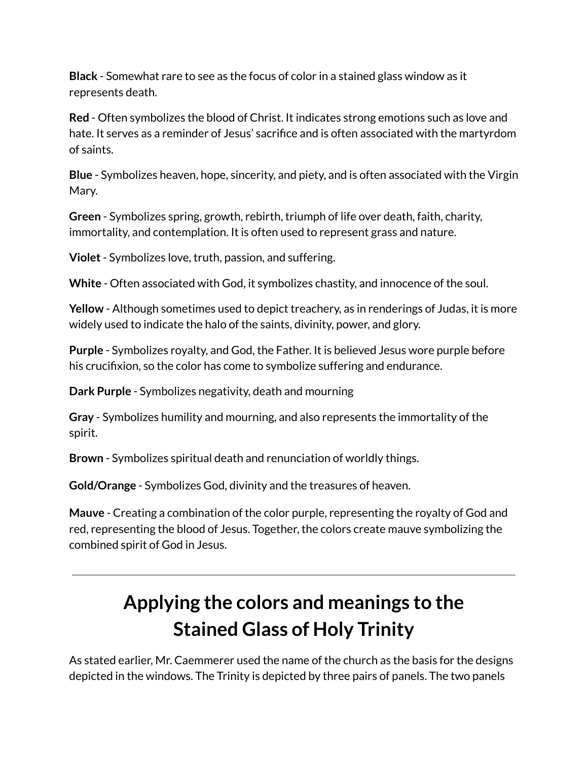**Black** - Somewhat rare to see as the focus of color in a stained glass window as it represents death.

**Red** - Often symbolizes the blood of Christ. It indicates strong emotions such as love and hate. It serves as a reminder of Jesus' sacrifice and is often associated with the martyrdom of saints.

**Blue** - Symbolizes heaven, hope, sincerity, and piety, and is often associated with the Virgin Mary.

**Green** - Symbolizes spring, growth, rebirth, triumph of life over death, faith, charity, immortality, and contemplation. It is often used to represent grass and nature.

**Violet**- Symbolizes love, truth, passion, and suffering.

**White** - Often associated with God, it symbolizes chastity, and innocence of the soul.

**Yellow** - Although sometimes used to depict treachery, as in renderings of Judas, it is more widely used to indicate the halo of the saints, divinity, power, and glory.

**Purple** - Symbolizes royalty, and God, the Father. It is believed Jesus wore purple before his crucifixion, so the color has come to symbolize suffering and endurance.

**Dark Purple** - Symbolizes negativity, death and mourning

**Gray** - Symbolizes humility and mourning, and also represents the immortality of the spirit.

**Brown** - Symbolizes spiritual death and renunciation of worldly things.

**Gold/Orange** - Symbolizes God, divinity and the treasures of heaven.

**Mauve** - Creating a combination of the color purple, representing the royalty of God and red, representing the blood of Jesus. Together, the colors create mauve symbolizing the combined spirit of God in Jesus.

# **Applying the colors and meanings to the Stained Glass of Holy Trinity**

As stated earlier, Mr. Caemmerer used the name of the church as the basis for the designs depicted in the windows. The Trinity is depicted by three pairs of panels. The two panels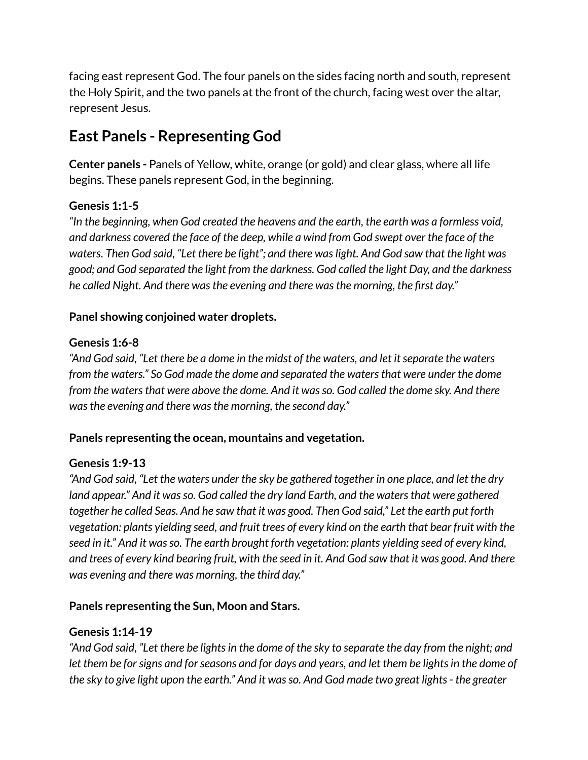facing east represent God. The four panels on the sides facing north and south, represent the Holy Spirit, and the two panels at the front of the church, facing west over the altar, represent Jesus.

# **East Panels - Representing God**

**Center panels -** Panels of Yellow, white, orange (or gold) and clear glass, where all life begins. These panels represent God, in the beginning.

### **Genesis 1:1-5**

*"In the beginning, when God created the heavens and the earth, the earth was a formless void, and darkness covered the face of the deep, while a wind from God swept over the face of the waters. Then God said, "Let there be light"; and there waslight. And God saw that the light was good; and God separated the light from the darkness. God called the light Day, and the darkness he called Night. And there wasthe evening and there wasthe morning, the first day."*

### **Panel showing conjoined water droplets.**

### **Genesis 1:6-8**

"And God said, "Let there be a dome in the midst of the waters, and let it separate the waters *from the waters." So God made the dome and separated the watersthat were under the dome from the watersthat were above the dome. And it wasso. God called the dome sky. And there wasthe evening and there wasthe morning, the second day."*

#### **Panels representing the ocean, mountains and vegetation.**

#### **Genesis 1:9-13**

"And God said, "Let the waters under the sky be gathered together in one place, and let the dry *land appear." And it wasso. God called the dry land Earth, and the watersthat were gathered* together he called Seas. And he saw that it was good. Then God said," Let the earth put forth vegetation: plants yielding seed, and fruit trees of every kind on the earth that bear fruit with the *seed in it." And it wasso. The earth brought forth vegetation: plants yielding seed of every kind,* and trees of every kind bearing fruit, with the seed in it. And God saw that it was good. And there *was evening and there was morning, the third day."*

#### **Panels representing the Sun, Moon and Stars.**

### **Genesis 1:14-19**

"And God said, "Let there be lights in the dome of the sky to separate the day from the night; and let them be for signs and for seasons and for days and years, and let them be lights in the dome of the sky to give light upon the earth." And it was so. And God made two great lights - the greater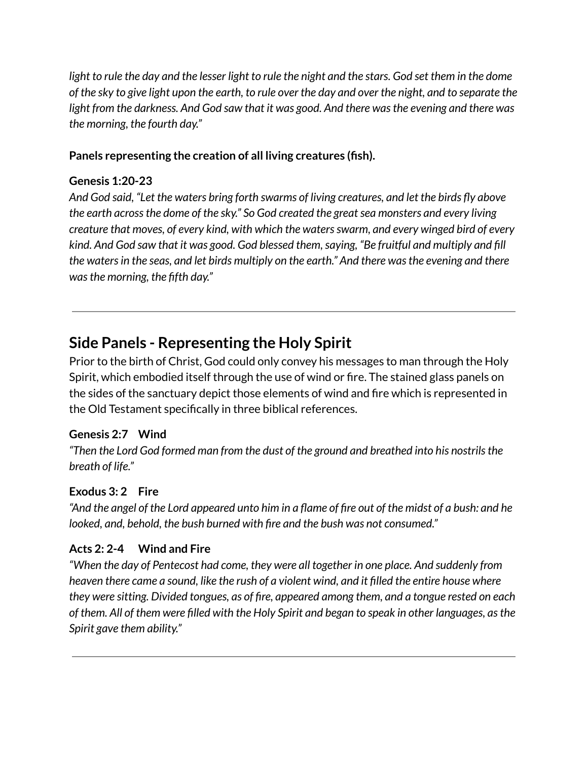light to rule the day and the lesser light to rule the night and the stars. God set them in the dome of the sky to give light upon the earth, to rule over the day and over the night, and to separate the *light from the darkness. And God saw that it was good. And there wasthe evening and there was the morning, the fourth day."*

### **Panels representing the creation of all living creatures (fish).**

### **Genesis 1:20-23**

*And God said, "Let the waters bring forth swarms of living creatures, and let the birds fly above the earth acrossthe dome of the sky." So God created the greatsea monsters and every living creature that moves, of every kind, with which the watersswarm, and every winged bird of every kind. And God saw that it was good. God blessed them,saying, "Be fruitful and multiply and fill the watersin the seas, and let birds multiply on the earth." And there wasthe evening and there wasthe morning, the fifth day."*

# **Side Panels - Representing the Holy Spirit**

Prior to the birth of Christ, God could only convey his messages to man through the Holy Spirit, which embodied itself through the use of wind or fire. The stained glass panels on the sides of the sanctuary depict those elements of wind and fire which is represented in the Old Testament specifically in three biblical references.

### **Genesis 2:7 Wind**

*"Then the Lord God formed man from the dust of the ground and breathed into his nostrilsthe breath of life."*

#### **Exodus 3: 2 Fire**

"And the angel of the Lord appeared unto him in a flame of fire out of the midst of a bush: and he *looked, and, behold, the bush burned with fire and the bush was not consumed."*

### **Acts 2: 2-4 Wind and Fire**

*"When the day of Pentecost had come, they were all together in one place. And suddenly from* heaven there came a sound, like the rush of a violent wind, and it filled the entire house where *they were sitting. Divided tongues, as of fire, appeared among them, and a tongue rested on each* of them. All of them were filled with the Holy Spirit and began to speak in other languages, as the *Spirit gave them ability."*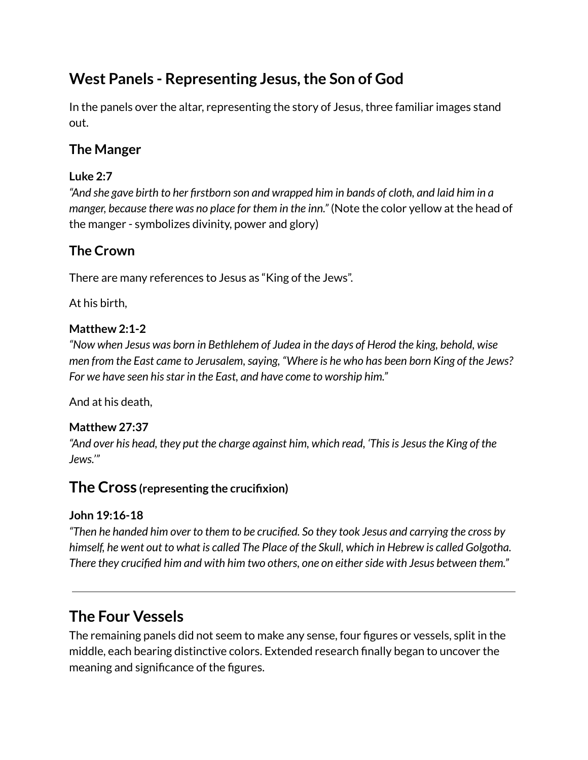# **West Panels - Representing Jesus,the Son of God**

In the panels over the altar, representing the story of Jesus, three familiar images stand out.

# **The Manger**

### **Luke 2:7**

"And she gave birth to her firstborn son and wrapped him in bands of cloth, and laid him in a *manger, because there was no place for them in the inn."* (Note the color yellow at the head of the manger - symbolizes divinity, power and glory)

# **The Crown**

There are many references to Jesus as "King of the Jews".

At his birth,

### **Matthew 2:1-2**

*"Now when Jesus was born in Bethlehem of Judea in the days of Herod the king, behold, wise men from the East came to Jerusalem,saying, "Where is he who has been born King of the Jews? For we have seen hisstar in the East, and have come to worship him."*

And at his death,

### **Matthew 27:37**

*"And over his head, they put the charge against him, which read, 'Thisis Jesusthe King of the Jews.'"*

# **The Cross (representing the crucifixion)**

### **John 19:16-18**

"Then he handed him over to them to be crucified. So they took Jesus and carrying the cross by himself, he went out to what is called The Place of the Skull, which in Hebrew is called Golgotha. *There they crucified him and with him two others, one on eitherside with Jesus between them."*

# **The Four Vessels**

The remaining panels did not seem to make any sense, four figures or vessels, split in the middle, each bearing distinctive colors. Extended research finally began to uncover the meaning and significance of the figures.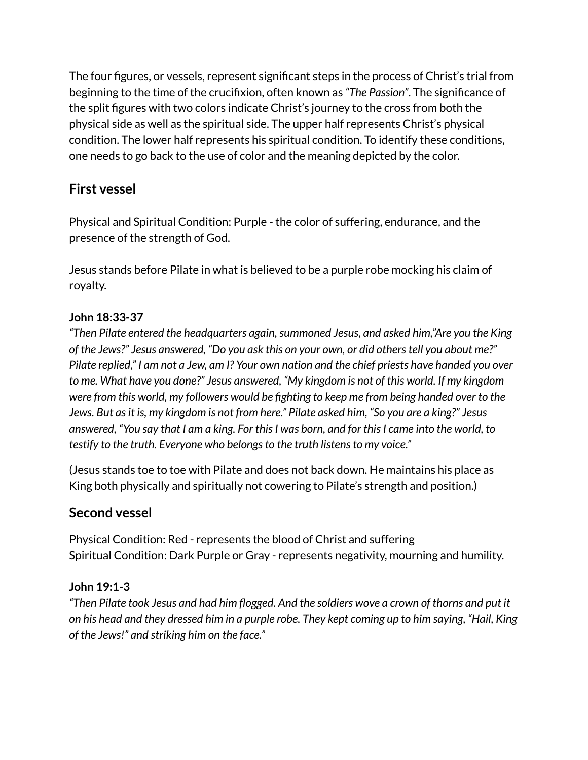The four figures, or vessels, represent significant steps in the process of Christ's trial from beginning to the time of the crucifixion, often known as *"The Passion"*. The significance of the split figures with two colors indicate Christ's journey to the cross from both the physical side as well as the spiritual side. The upper half represents Christ's physical condition. The lower half represents his spiritual condition. To identify these conditions, one needs to go back to the use of color and the meaning depicted by the color.

# **First vessel**

Physical and Spiritual Condition: Purple - the color of suffering, endurance, and the presence of the strength of God.

Jesus stands before Pilate in what is believed to be a purple robe mocking his claim of royalty.

### **John 18:33-37**

*"Then Pilate entered the headquarters again,summoned Jesus, and asked him,"Are you the King of the Jews?" Jesus answered, "Do you ask this on your own, or did otherstell you about me?"* Pilate replied," I am not a Jew, am I? Your own nation and the chief priests have handed you over *to me. What have you done?" Jesus answered, "My kingdom is not of this world. If my kingdom were from this world, my followers would be fighting to keep me from being handed over to the* Jews. But as it is, my kingdom is not from here." Pilate asked him, "So you are a king?" Jesus answered, "You say that I am a king. For this I was born, and for this I came into the world, to *testify to the truth. Everyone who belongsto the truth listensto my voice."*

(Jesus stands toe to toe with Pilate and does not back down. He maintains his place as King both physically and spiritually not cowering to Pilate's strength and position.)

# **Second vessel**

Physical Condition: Red - represents the blood of Christ and suffering Spiritual Condition: Dark Purple or Gray - represents negativity, mourning and humility.

### **John 19:1-3**

"Then Pilate took Jesus and had him flogged. And the soldiers wove a crown of thorns and put it on his head and they dressed him in a purple robe. They kept coming up to him saying, "Hail, King *of the Jews!" and striking him on the face."*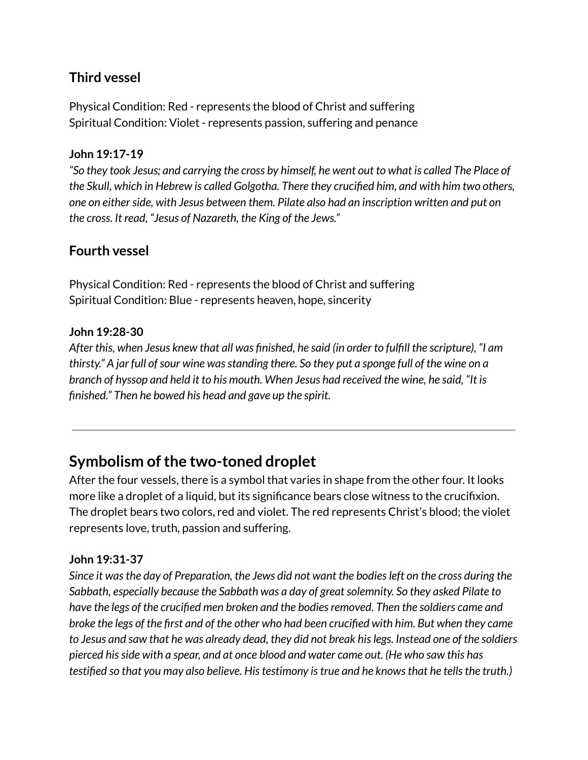## **Third vessel**

Physical Condition: Red - represents the blood of Christ and suffering Spiritual Condition: Violet - represents passion, suffering and penance

#### **John 19:17-19**

"So they took Jesus; and carrying the cross by himself, he went out to what is called The Place of *the Skull, which in Hebrew is called Golgotha. There they crucified him, and with him two others, one on eitherside, with Jesus between them. Pilate also had an inscription written and put on the cross. It read, "Jesus of Nazareth, the King of the Jews."*

### **Fourth vessel**

Physical Condition: Red - represents the blood of Christ and suffering Spiritual Condition: Blue - represents heaven, hope, sincerity

#### **John 19:28-30**

After this, when Jesus knew that all was finished, he said (in order to fulfill the scripture), "I am thirsty." A jar full of sour wine was standing there. So they put a sponge full of the wine on a branch of hyssop and held it to his mouth. When Jesus had received the wine, he said, "It is *finished." Then he bowed his head and gave up the spirit.*

# **Symbolism of the two-toned droplet**

After the four vessels, there is a symbol that varies in shape from the other four. It looks more like a droplet of a liquid, but its significance bears close witness to the crucifixion. The droplet bears two colors, red and violet. The red represents Christ's blood; the violet represents love, truth, passion and suffering.

#### **John 19:31-37**

*Since it wasthe day of Preparation, the Jews did not want the bodiesleft on the cross during the Sabbath, especially because the Sabbath was a day of greatsolemnity. So they asked Pilate to have the legs of the crucified men broken and the bodiesremoved. Then the soldiers came and* broke the legs of the first and of the other who had been crucified with him. But when they came to Jesus and saw that he was already dead, they did not break his legs. Instead one of the soldiers *pierced hisside with a spear, and at once blood and water came out. (He who saw this has testified so that you may also believe. Histestimony istrue and he knowsthat he tellsthe truth.)*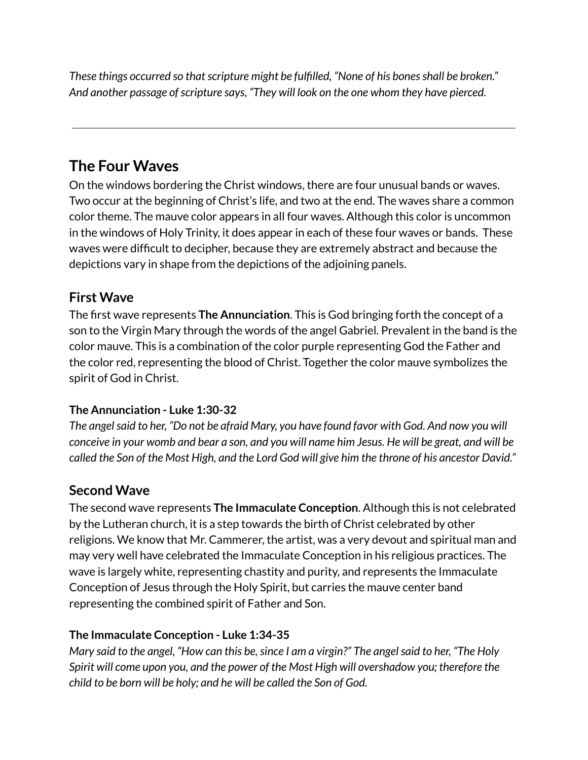*These things occurred so that scripture might be fulfilled,* "None of *his bones shall be broken." And another passage ofscripture says, "They will look on the one whom they have pierced.*

# **The Four Waves**

On the windows bordering the Christ windows, there are four unusual bands or waves. Two occur at the beginning of Christ's life, and two at the end. The waves share a common color theme. The mauve color appears in all four waves. Although this color is uncommon in the windows of Holy Trinity, it does appear in each of these four waves or bands. These waves were difficult to decipher, because they are extremely abstract and because the depictions vary in shape from the depictions of the adjoining panels.

# **First Wave**

The first wave represents **The Annunciation**. This is God bringing forth the concept of a son to the Virgin Mary through the words of the angel Gabriel. Prevalent in the band is the color mauve. This is a combination of the color purple representing God the Father and the color red, representing the blood of Christ. Together the color mauve symbolizes the spirit of God in Christ.

### **The Annunciation - Luke 1:30-32**

The angel said to her, "Do not be afraid Mary, you have found favor with God. And now you will conceive in your womb and bear a son, and you will name him Jesus. He will be great, and will be "called the Son of the Most High, and the Lord God will give him the throne of his ancestor David.

# **Second Wave**

The second wave represents **The Immaculate Conception**. Although this is not celebrated by the Lutheran church, it is a step towards the birth of Christ celebrated by other religions. We know that Mr. Cammerer, the artist, was a very devout and spiritual man and may very well have celebrated the Immaculate Conception in his religious practices. The wave is largely white, representing chastity and purity, and represents the Immaculate Conception of Jesus through the Holy Spirit, but carries the mauve center band representing the combined spirit of Father and Son.

### **The Immaculate Conception - Luke 1:34-35**

Mary said to the angel, "How can this be, since I am a virgin?" The angel said to her, "The Holy *Spirit will come upon you, and the power of the Most High will overshadow you; therefore the child to be born will be holy; and he will be called the Son of God.*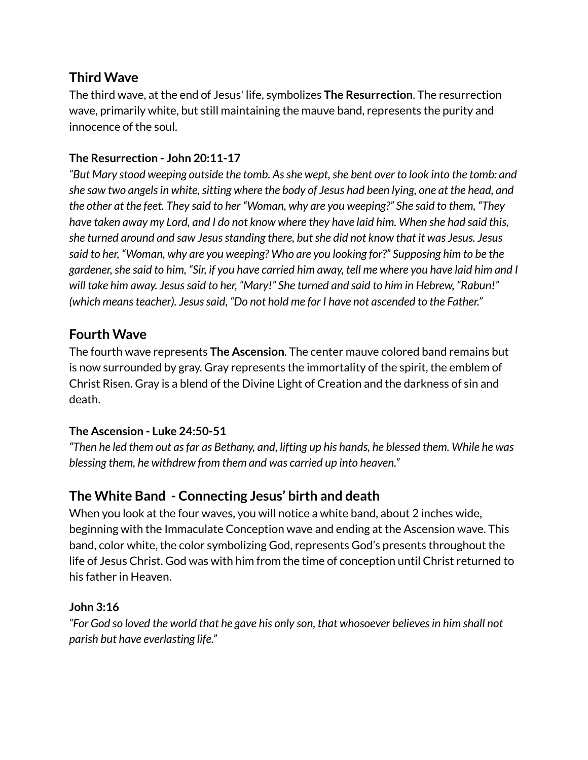# **Third Wave**

The third wave, at the end of Jesus' life, symbolizes **The Resurrection**. The resurrection wave, primarily white, but still maintaining the mauve band, represents the purity and innocence of the soul.

### **The Resurrection - John 20:11-17**

*"But Mary stood weeping outside the tomb. Asshe wept,she bent over to look into the tomb: and she saw two angelsin white,sitting where the body of Jesus had been lying, one at the head, and* the other at the feet. They said to her "Woman, why are you weeping?" She said to them, "They have taken away my Lord, and I do not know where they have laid him. When she had said this, *she turned around and saw Jesusstanding there, butshe did not know that it was Jesus. Jesus said to her, "Woman, why are you weeping? Who are you looking for?" Supposing him to be the* gardener, she said to him, "Sir, if you have carried him away, tell me where you have laid him and I *will take him away. Jesussaid to her, "Mary!" She turned and said to him in Hebrew, "Rabun!" (which meansteacher). Jesussaid, "Do not hold me for I have not ascended to the Father."*

# **Fourth Wave**

The fourth wave represents **The Ascension**. The center mauve colored band remains but is now surrounded by gray. Gray represents the immortality of the spirit, the emblem of Christ Risen. Gray is a blend of the Divine Light of Creation and the darkness of sin and death.

### **The Ascension - Luke 24:50-51**

"Then he led them out as far as Bethany, and, lifting up his hands, he blessed them. While he was *blessing them, he withdrew from them and was carried up into heaven."*

# **The White Band - Connecting Jesus' birth and death**

When you look at the four waves, you will notice a white band, about 2 inches wide, beginning with the Immaculate Conception wave and ending at the Ascension wave. This band, color white, the color symbolizing God, represents God's presents throughout the life of Jesus Christ. God was with him from the time of conception until Christ returned to his father in Heaven.

### **John 3:16**

*"For God so loved the world that he gave his only son, that whosoever believesin him shall not parish but have everlasting life."*